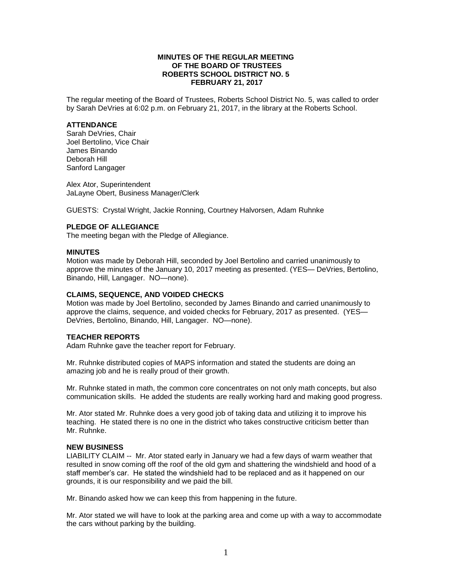### **MINUTES OF THE REGULAR MEETING OF THE BOARD OF TRUSTEES ROBERTS SCHOOL DISTRICT NO. 5 FEBRUARY 21, 2017**

The regular meeting of the Board of Trustees, Roberts School District No. 5, was called to order by Sarah DeVries at 6:02 p.m. on February 21, 2017, in the library at the Roberts School.

#### **ATTENDANCE**

Sarah DeVries, Chair Joel Bertolino, Vice Chair James Binando Deborah Hill Sanford Langager

Alex Ator, Superintendent JaLayne Obert, Business Manager/Clerk

GUESTS: Crystal Wright, Jackie Ronning, Courtney Halvorsen, Adam Ruhnke

# **PLEDGE OF ALLEGIANCE**

The meeting began with the Pledge of Allegiance.

#### **MINUTES**

Motion was made by Deborah Hill, seconded by Joel Bertolino and carried unanimously to approve the minutes of the January 10, 2017 meeting as presented. (YES— DeVries, Bertolino, Binando, Hill, Langager. NO—none).

### **CLAIMS, SEQUENCE, AND VOIDED CHECKS**

Motion was made by Joel Bertolino, seconded by James Binando and carried unanimously to approve the claims, sequence, and voided checks for February, 2017 as presented. (YES— DeVries, Bertolino, Binando, Hill, Langager. NO—none).

## **TEACHER REPORTS**

Adam Ruhnke gave the teacher report for February.

Mr. Ruhnke distributed copies of MAPS information and stated the students are doing an amazing job and he is really proud of their growth.

Mr. Ruhnke stated in math, the common core concentrates on not only math concepts, but also communication skills. He added the students are really working hard and making good progress.

Mr. Ator stated Mr. Ruhnke does a very good job of taking data and utilizing it to improve his teaching. He stated there is no one in the district who takes constructive criticism better than Mr. Ruhnke.

# **NEW BUSINESS**

LIABILITY CLAIM -- Mr. Ator stated early in January we had a few days of warm weather that resulted in snow coming off the roof of the old gym and shattering the windshield and hood of a staff member's car. He stated the windshield had to be replaced and as it happened on our grounds, it is our responsibility and we paid the bill.

Mr. Binando asked how we can keep this from happening in the future.

Mr. Ator stated we will have to look at the parking area and come up with a way to accommodate the cars without parking by the building.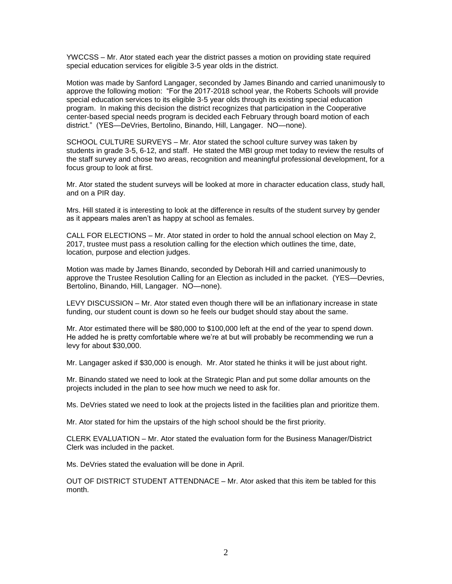YWCCSS – Mr. Ator stated each year the district passes a motion on providing state required special education services for eligible 3-5 year olds in the district.

Motion was made by Sanford Langager, seconded by James Binando and carried unanimously to approve the following motion: "For the 2017-2018 school year, the Roberts Schools will provide special education services to its eligible 3-5 year olds through its existing special education program. In making this decision the district recognizes that participation in the Cooperative center-based special needs program is decided each February through board motion of each district." (YES—DeVries, Bertolino, Binando, Hill, Langager. NO—none).

SCHOOL CULTURE SURVEYS – Mr. Ator stated the school culture survey was taken by students in grade 3-5, 6-12, and staff. He stated the MBI group met today to review the results of the staff survey and chose two areas, recognition and meaningful professional development, for a focus group to look at first.

Mr. Ator stated the student surveys will be looked at more in character education class, study hall, and on a PIR day.

Mrs. Hill stated it is interesting to look at the difference in results of the student survey by gender as it appears males aren't as happy at school as females.

CALL FOR ELECTIONS – Mr. Ator stated in order to hold the annual school election on May 2, 2017, trustee must pass a resolution calling for the election which outlines the time, date, location, purpose and election judges.

Motion was made by James Binando, seconded by Deborah Hill and carried unanimously to approve the Trustee Resolution Calling for an Election as included in the packet. (YES—Devries, Bertolino, Binando, Hill, Langager. NO—none).

LEVY DISCUSSION – Mr. Ator stated even though there will be an inflationary increase in state funding, our student count is down so he feels our budget should stay about the same.

Mr. Ator estimated there will be \$80,000 to \$100,000 left at the end of the year to spend down. He added he is pretty comfortable where we're at but will probably be recommending we run a levy for about \$30,000.

Mr. Langager asked if \$30,000 is enough. Mr. Ator stated he thinks it will be just about right.

Mr. Binando stated we need to look at the Strategic Plan and put some dollar amounts on the projects included in the plan to see how much we need to ask for.

Ms. DeVries stated we need to look at the projects listed in the facilities plan and prioritize them.

Mr. Ator stated for him the upstairs of the high school should be the first priority.

CLERK EVALUATION – Mr. Ator stated the evaluation form for the Business Manager/District Clerk was included in the packet.

Ms. DeVries stated the evaluation will be done in April.

OUT OF DISTRICT STUDENT ATTENDNACE – Mr. Ator asked that this item be tabled for this month.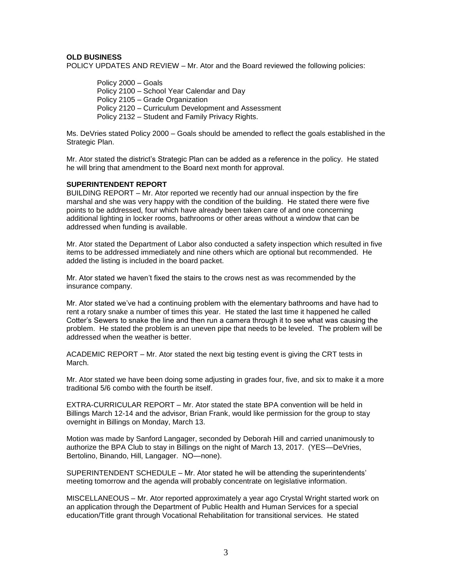# **OLD BUSINESS**

POLICY UPDATES AND REVIEW – Mr. Ator and the Board reviewed the following policies:

Policy 2000 – Goals Policy 2100 – School Year Calendar and Day Policy 2105 – Grade Organization Policy 2120 – Curriculum Development and Assessment Policy 2132 – Student and Family Privacy Rights.

Ms. DeVries stated Policy 2000 – Goals should be amended to reflect the goals established in the Strategic Plan.

Mr. Ator stated the district's Strategic Plan can be added as a reference in the policy. He stated he will bring that amendment to the Board next month for approval.

### **SUPERINTENDENT REPORT**

BUILDING REPORT – Mr. Ator reported we recently had our annual inspection by the fire marshal and she was very happy with the condition of the building. He stated there were five points to be addressed, four which have already been taken care of and one concerning additional lighting in locker rooms, bathrooms or other areas without a window that can be addressed when funding is available.

Mr. Ator stated the Department of Labor also conducted a safety inspection which resulted in five items to be addressed immediately and nine others which are optional but recommended. He added the listing is included in the board packet.

Mr. Ator stated we haven't fixed the stairs to the crows nest as was recommended by the insurance company.

Mr. Ator stated we've had a continuing problem with the elementary bathrooms and have had to rent a rotary snake a number of times this year. He stated the last time it happened he called Cotter's Sewers to snake the line and then run a camera through it to see what was causing the problem. He stated the problem is an uneven pipe that needs to be leveled. The problem will be addressed when the weather is better.

ACADEMIC REPORT – Mr. Ator stated the next big testing event is giving the CRT tests in March.

Mr. Ator stated we have been doing some adjusting in grades four, five, and six to make it a more traditional 5/6 combo with the fourth be itself.

EXTRA-CURRICULAR REPORT – Mr. Ator stated the state BPA convention will be held in Billings March 12-14 and the advisor, Brian Frank, would like permission for the group to stay overnight in Billings on Monday, March 13.

Motion was made by Sanford Langager, seconded by Deborah Hill and carried unanimously to authorize the BPA Club to stay in Billings on the night of March 13, 2017. (YES—DeVries, Bertolino, Binando, Hill, Langager. NO—none).

SUPERINTENDENT SCHEDULE – Mr. Ator stated he will be attending the superintendents' meeting tomorrow and the agenda will probably concentrate on legislative information.

MISCELLANEOUS – Mr. Ator reported approximately a year ago Crystal Wright started work on an application through the Department of Public Health and Human Services for a special education/Title grant through Vocational Rehabilitation for transitional services. He stated